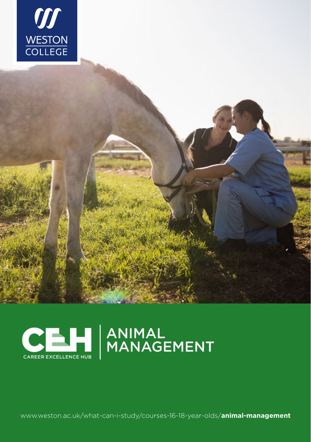





www.weston.ac.uk/what-can-i-study/courses-16-18-year-olds/animal-management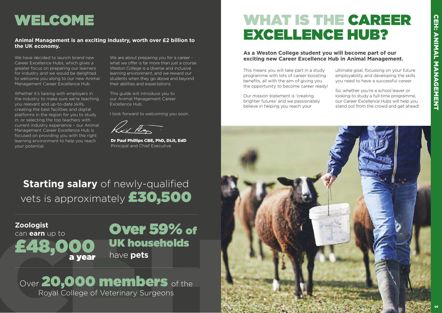# WELCOME

#### **Animal Management is an exciting industry, worth over £2 billion to the UK economy.**

We have decided to launch brand new Career Excellence Hubs, which gives a greater focus on preparing our learners for industry and we would be delighted to welcome you along to our new Animal Management Career Excellence Hub.

Whether it's liaising with employers in the industry to make sure we're teaching you relevant and up-to-date skills, creating the best facilities and digital platforms in the region for you to study in, or selecting the top teachers with current industry experience – our Animal Management Career Excellence Hub is focused on providing you with the right learning environment to help you reach your potential.

We are about preparing you for a career what we offer is far more than just a course. Weston College is a diverse and inclusive learning environment, and we reward our students when they go above and beyond their abilities and expectations.

This guide will introduce you to our Animal Management Career Excellence Hub.

I look forward to welcoming you soon.

Dr Paul Phillips CBE, PhD, DLit, EdD Principal and Chief Executive

### WHAT IS THE CAREER EXCELLENCE HUB?

**As a Weston College student you will become part of our exciting new Career Excellence Hub in Animal Management.** 

This means you will take part in a study programme with lots of career boosting benefits, all with the aim of giving you the opportunity to become career ready!

Our mission statement is 'creating brighter futures' and we passionately believe in helping you reach your

ultimate goal, focussing on your future employability and developing the skills you need to have a successful career.

So, whether you're a school leaver or looking to study a full-time programme, our Career Excellence Hubs will help you stand out from the crowd and get ahead!



### **Starting salary** of newly-qualified vets is approximately £30,500

**Zoologist**  can **earn** up to £48,000<br><sub>a year</sub>

### Over 59% of UK households have **pets**

Over 20,000 members of the Royal College of Veterinary Surgeons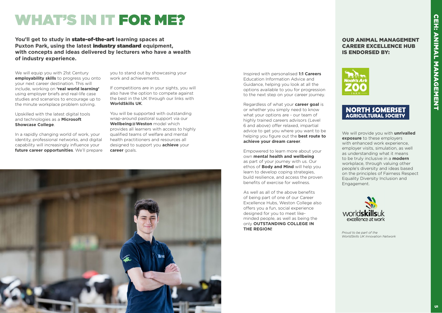## WHAT'S IN IT FOR ME?

**You'll get to study in** state-of-the-art **learning spaces at Puxton Park, using the latest** industry standard **equipment, with concepts and ideas delivered by lecturers who have a wealth of industry experience.** 

We will equip you with 21st Century **employability skills** to progress you onto your next career destination. This will include, working on **'real world learning'** using employer briefs and real-life case studies and scenarios to encourage up to the minute workplace problem solving.

Upskilled with the latest digital tools and technologies as a **Microsoft Showcase College**.

In a rapidly changing world of work, your identity, professional networks, and digital capability will increasingly influence your **future career opportunities**. We'll prepare you to stand out by showcasing your work and achievements.

If competitions are in your sights, you will also have the option to compete against the best in the UK through our links with **WorldSkills UK**.

You will be supported with outstanding wrap-around pastoral support via our **Wellbeing@Weston** model which provides all learners with access to highly qualified teams of welfare and mental health practitioners and resources all designed to support you **achieve** your **career** goals.



Inspired with personalised **1:1 Careers** Education Information Advice and Guidance, helping you look at all the options available to you for progression to the next step on your career journey.

Regardless of what your **career goal** is or whether you simply need to know what your options are - our team of highly trained careers advisors (Level 6 and above) offer relaxed, impartial advice to get you where you want to be helping you figure out the **best route to achieve your dream career**.

Empowered to learn more about your own **mental health and wellbeing** as part of your journey with us. Our ethos of **Body and Mind** will help you learn to develop coping strategies, build resilience, and access the proven benefits of exercise for wellness.

As well as all of the above benefits of being part of one of our Career Excellence Hubs, Weston College also offers you a fun, social experience designed for you to meet likeminded people, as well as being the only **OUTSTANDING COLLEGE IN THE REGION!**

#### OUR ANIMAL MANAGEMENT CAREER EXCELLENCE HUB IS ENDORSED BY:



#### **NORTH SOMERSET AGRICULTURAL SOCIETY**

We will provide you with **unrivalled exposure** to these employers with enhanced work experience. employer visits, simulation, as well as understanding what it means to be truly inclusive in a **modern** workplace, through valuing other people's diversity and ideas based on the principles of Fairness Respect Equality Diversity Inclusion and Engagement.



*Proud to be part of the WorldSkills UK Innovation Network*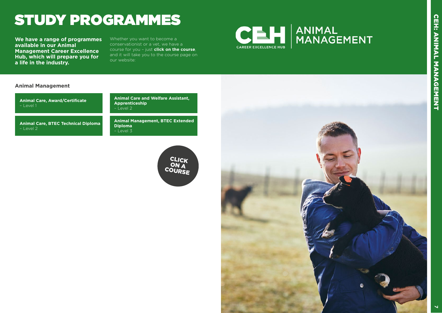# <span id="page-3-0"></span>STUDY PROGRAMMES

**We have a range of programmes available in our Animal Management Career Excellence Hub, which will prepare you for a life in the industry.**

Whether you want to become a conservationist or a vet, we have a course for you – just **click on the course**, and it will take you to the course page on our website:



#### **Animal Management**

**Animal Care, Award/Certificate**   $-$  Level 1

**Animal Care, BTEC Technical Diploma**  – Level 2

**Animal Care and Welfare Assistant, Apprenticeship**  – Level 2

**Animal Management, BTEC Extended Diploma**  – Level 3



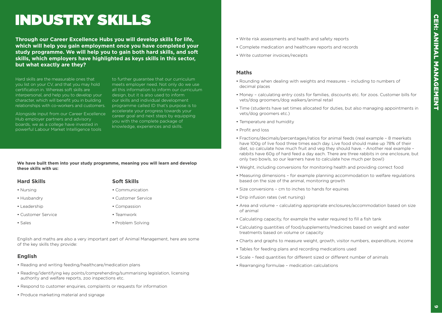### INDUSTRY SKILLS

**Through our Career Excellence Hubs you will develop skills for life, which will help you gain employment once you have completed your study programme. We will help you to gain both hard skills, and soft skills, which employers have highlighted as keys skills in this sector, but what exactly are they?**

Hard skills are the measurable ones that you list on your CV, and that you may hold certification in. Whereas soft skills are interpersonal, and help you to develop your character, which will benefit you in building relationships with co-workers and customers.

Alongside input from our Career Excellence Hub employer partners and advisory boards, we as a college have invested in powerful Labour Market Intelligence tools

to further guarantee that our curriculum meets employer need. Not only do we use all this information to inform our curriculum design, but it is also used to inform our skills and individual development programme called ID that's purpose is to accelerate your progress towards your career goal and next steps by equipping you with the complete package of knowledge, experiences and skills.

**We have built them into your study programme, meaning you will learn and develop these skills with us:**

#### **Hard Skills**

- Nursing
- Husbandry
- Leadership
- Customer Service
- Sales

#### **Soft Skills**

- Communication
- Customer Service
- Compassion
- Teamwork
- Problem Solving

English and maths are also a very important part of Animal Management, here are some of the key skills they provide:

#### **English**

- Reading and writing feeding/healthcare/medication plans
- Reading/identifying key points/comprehending/summarising legislation, licensing authority and welfare reports, zoo inspections etc.
- Respond to customer enquiries, complaints or requests for information
- Produce marketing material and signage
- Write risk assessments and health and safety reports
- Complete medication and healthcare reports and records
- Write customer invoices/receipts

#### **Maths**

- Rounding when dealing with weights and measures including to numbers of decimal places
- Money calculating entry costs for families, discounts etc. for zoos. Customer bills for vets/dog groomers/dog walkers/animal retail
- Time (students have set times allocated for duties, but also managing appointments in vets/dog groomers etc.)
- Temperature and humidity
- Profit and loss
- Fractions/decimals/percentages/ratios for animal feeds (real example 8 meerkats have 100g of live food three times each day. Live food should make up 78% of their diet, so calculate how much fruit and veg they should have. - Another real example – rabbits have 60g of hard feed a day each. There are three rabbits in one enclosure, but only two bowls, so our learners have to calculate how much per bowl)
- Weight, including conversions for monitoring health and providing correct food
- Measuring dimensions for example planning accommodation to welfare regulations based on the size of the animal, monitoring growth
- Size conversions cm to inches to hands for equines
- Drip infusion rates (vet nursing)
- Area and volume calculating appropriate enclosures/accommodation based on size of animal
- Calculating capacity, for example the water required to fill a fish tank
- Calculating quantities of food/supplements/medicines based on weight and water treatments based on volume or capacity
- Charts and graphs to measure weight, growth, visitor numbers, expenditure, income
- Tables for feeding plans and recording medications used
- Scale feed quantities for different sized or different number of animals
- Rearranging formulae medication calculations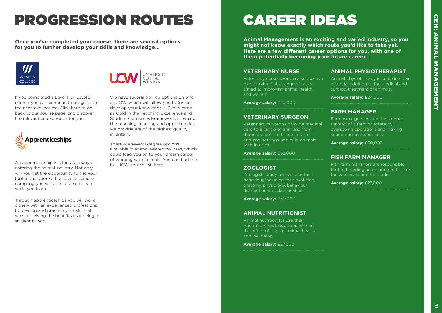# PROGRESSION ROUTES CAREER IDEAS

**Once you've completed your course, there are several options for you to further develop your skills and knowledge...**





If you completed a Level 1, or Level 2 course, you can continue to progress to the next level course. Click [here](#page-3-0) to go back to our course page, and discover the relevant course route, for you.



An apprenticeship is a fantastic way of entering the animal industry. Not only will you get the opportunity to get your foot in the door with a local or national company, you will also be able to earn while you learn.

Through apprenticeships you will work closely with an experienced professional to develop and practice your skills, all whist receiving the benefits that being a student brings.

Student Outcomes Framework, meaning the teaching, learning and opportunities we provide are of the highest quality in Britain. There are several degree options

We have several degree options on offer at UCW, which will allow you to further develop your knowledge. UCW is rated as Gold in the Teaching Excellence and

available in animal related courses, which could lead you on to your dream career of working with animals. You can find the full UCW course list, [here](https://www.ucw.ac.uk/courses/).

**Animal Management is an exciting and varied industry, so you might not know exactly which route you'd like to take yet. Here are a few different career options for you, with one of them potentially becoming your future career…**

#### **VETERINARY NURSE**

Veterinary nurses work in a supportive role carrying out a range of tasks aimed at improving animal health and welfare.

**Average salary:** £20,000

#### **VETERINARY SURGEON**

Veterinary surgeons provide medical care to a range of animals, from domestic pets to those in farm and zoo settings and wild animals with injuries.

**Average salary:** £52,000

#### **ZOOLOGIST**

Zoologists study animals and their behaviour, including their evolution, anatomy, physiology, behaviour, distribution and classification.

**Average salary:** £30,000

#### **ANIMAL NUTRITIONIST**

Animal nutritionists use their scientific knowledge to advise on the effect of diet on animal health and wellbeing.

**Average salary:** £27,000

#### **ANIMAL PHYSIOTHERAPIST**

Animal physiotherapy is considered an essential addition to the medical and surgical treatment of animals.

**Average salary:** £24,000

#### **FARM MANAGER**

Farm managers ensure the smooth running of a farm or estate by overseeing operations and making sound business decisions.

**Average salary:** £30,000

#### **FISH FARM MANAGER**

Fish farm managers are responsible for the breeding and rearing of fish for the wholesale or retail trade.

**Average salary:** £27,000